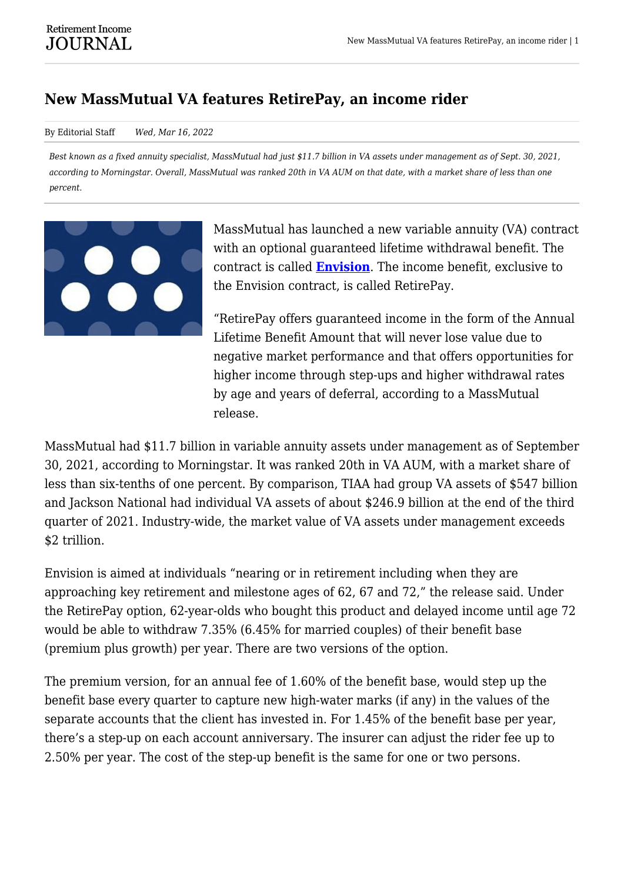## **New MassMutual VA features RetirePay, an income rider**

## By Editorial Staff *Wed, Mar 16, 2022*

*Best known as a fixed annuity specialist, MassMutual had just \$11.7 billion in VA assets under management as of Sept. 30, 2021, according to Morningstar. Overall, MassMutual was ranked 20th in VA AUM on that date, with a market share of less than one percent.*



MassMutual has launched a new variable annuity (VA) contract with an optional guaranteed lifetime withdrawal benefit. The contract is called **[Envision](https://vpx.broadridge.com/GetContract1.asp?doctype=pros&cid=mmlvpx&fid=57577A332)**. The income benefit, exclusive to the Envision contract, is called RetirePay.

"RetirePay offers guaranteed income in the form of the Annual Lifetime Benefit Amount that will never lose value due to negative market performance and that offers opportunities for higher income through step-ups and higher withdrawal rates by age and years of deferral, according to a MassMutual release.

MassMutual had \$11.7 billion in variable annuity assets under management as of September 30, 2021, according to Morningstar. It was ranked 20th in VA AUM, with a market share of less than six-tenths of one percent. By comparison, TIAA had group VA assets of \$547 billion and Jackson National had individual VA assets of about \$246.9 billion at the end of the third quarter of 2021. Industry-wide, the market value of VA assets under management exceeds \$2 trillion.

Envision is aimed at individuals "nearing or in retirement including when they are approaching key retirement and milestone ages of 62, 67 and 72," the release said. Under the RetirePay option, 62-year-olds who bought this product and delayed income until age 72 would be able to withdraw 7.35% (6.45% for married couples) of their benefit base (premium plus growth) per year. There are two versions of the option.

The premium version, for an annual fee of 1.60% of the benefit base, would step up the benefit base every quarter to capture new high-water marks (if any) in the values of the separate accounts that the client has invested in. For 1.45% of the benefit base per year, there's a step-up on each account anniversary. The insurer can adjust the rider fee up to 2.50% per year. The cost of the step-up benefit is the same for one or two persons.